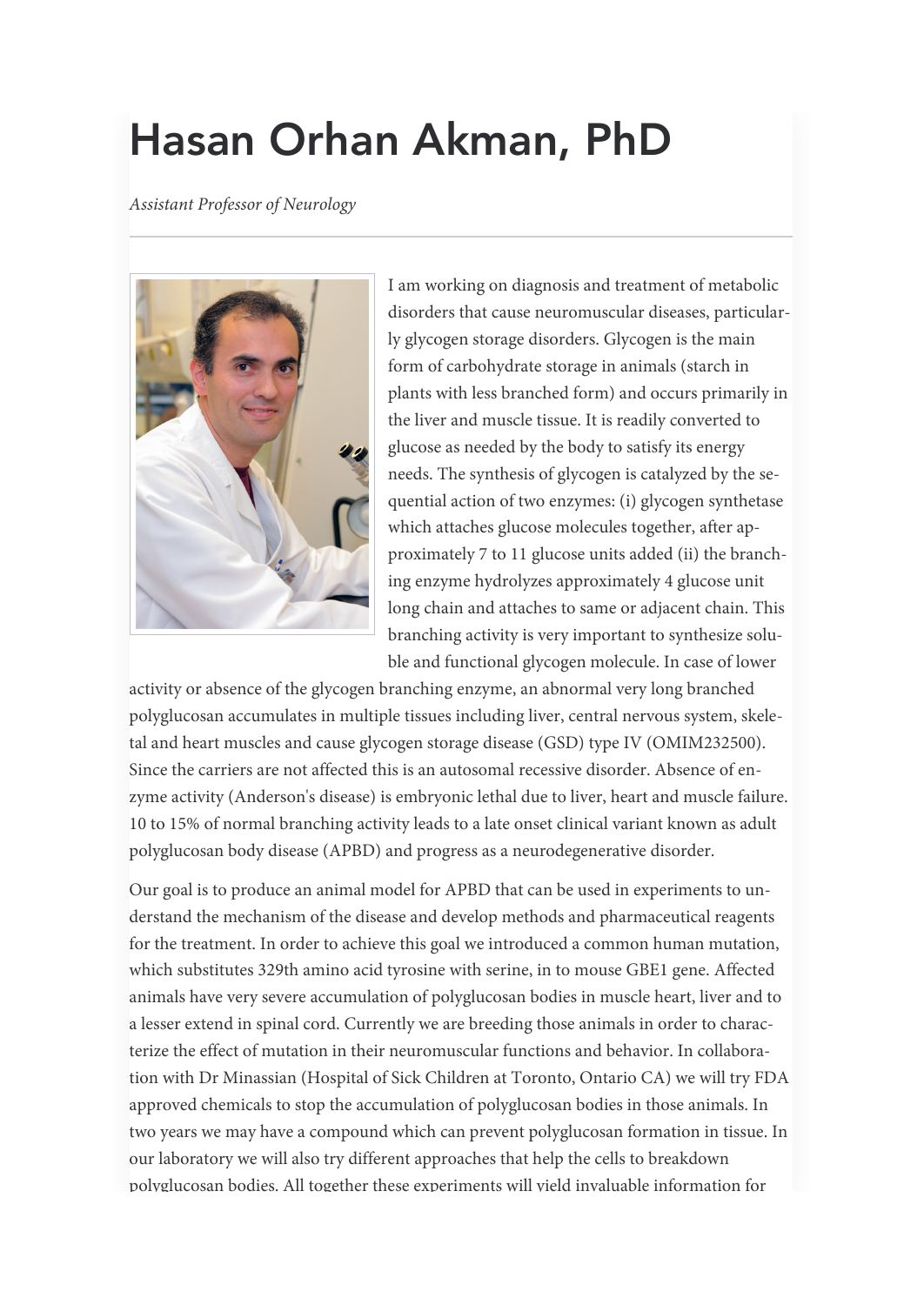# Hasan Orhan Akman, PhD

Assistant Professor of Neurology



I am working on diagnosis and treatment of metabolic disorders that cause neuromuscular diseases, particularly glycogen storage disorders. Glycogen is the main form of carbohydrate storage in animals (starch in plants with less branched form) and occurs primarily in the liver and muscle tissue. It is readily converted to glucose as needed by the body to satisfy its energy needs. The synthesis of glycogen is catalyzed by the sequential action of two enzymes: (i) glycogen synthetase which attaches glucose molecules together, after approximately 7 to 11 glucose units added (ii) the branching enzyme hydrolyzes approximately 4 glucose unit long chain and attaches to same or adjacent chain. This branching activity is very important to synthesize soluble and functional glycogen molecule. In case of lower

activity or absence of the glycogen branching enzyme, an abnormal very long branched polyglucosan accumulates in multiple tissues including liver, central nervous system, skeletal and heart muscles and cause glycogen storage disease (GSD) type IV (OMIM232500). Since the carriers are not affected this is an autosomal recessive disorder. Absence of enzyme activity (Anderson's disease) is embryonic lethal due to liver, heart and muscle failure. 10 to 15% of normal branching activity leads to a late onset clinical variant known as adult polyglucosan body disease (APBD) and progress as a neurodegenerative disorder.

Our goal is to produce an animal model for APBD that can be used in experiments to understand the mechanism of the disease and develop methods and pharmaceutical reagents for the treatment. In order to achieve this goal we introduced a common human mutation, which substitutes 329th amino acid tyrosine with serine, in to mouse GBE1 gene. Affected animals have very severe accumulation of polyglucosan bodies in muscle heart, liver and to a lesser extend in spinal cord. Currently we are breeding those animals in order to characterize the effect of mutation in their neuromuscular functions and behavior. In collaboration with Dr Minassian (Hospital of Sick Children at Toronto, Ontario CA) we will try FDA approved chemicals to stop the accumulation of polyglucosan bodies in those animals. In two years we may have a compound which can prevent polyglucosan formation in tissue. In our laboratory we will also try different approaches that help the cells to breakdown polyglucosan bodies. All together these experiments will yield invaluable information for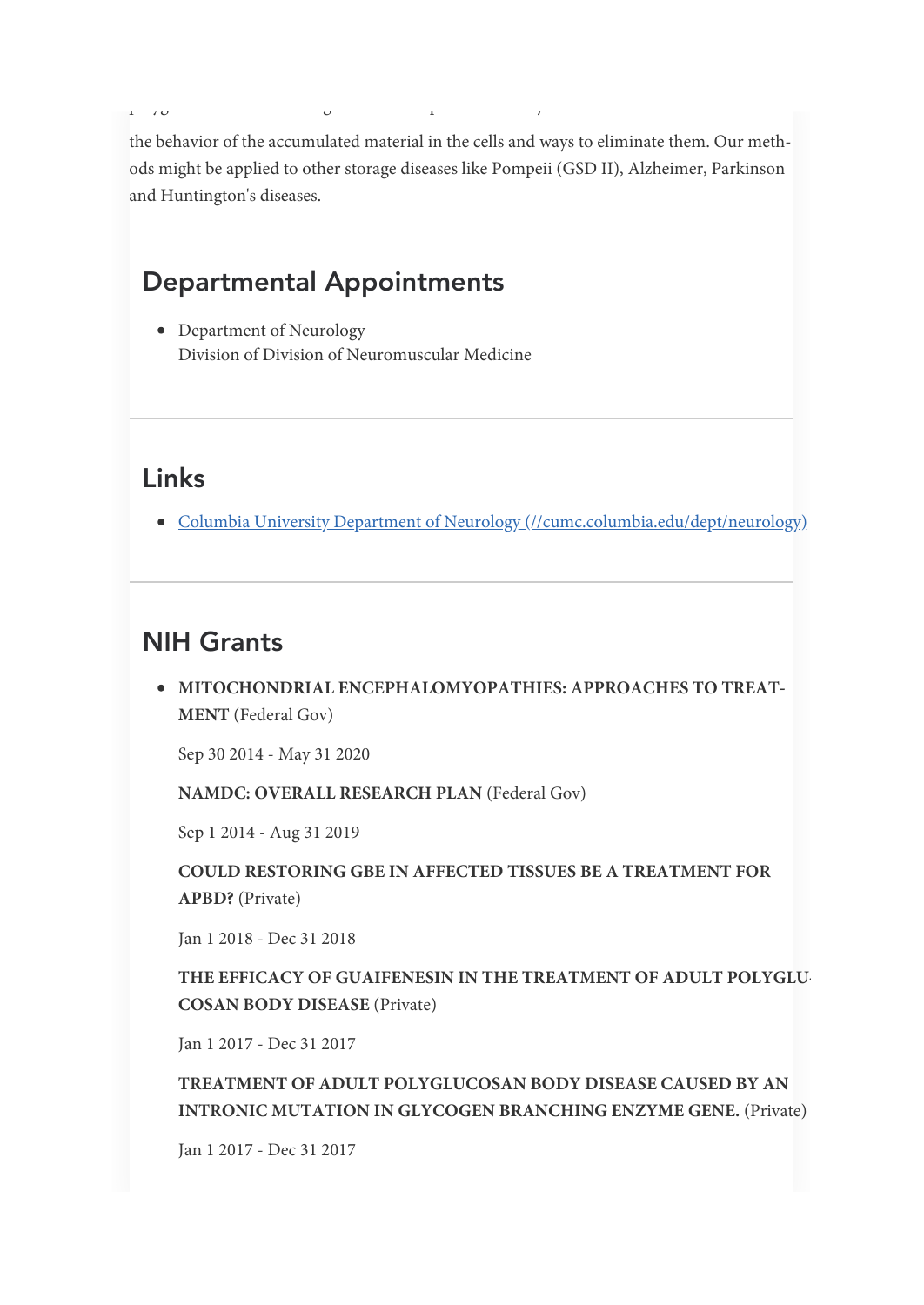the behavior of the accumulated material in the cells and ways to eliminate them. Our methods might be applied to other storage diseases like Pompeii (GSD II), Alzheimer, Parkinson and Huntington's diseases.

### Departmental Appointments

p yg g p y

• Department of Neurology Division of Division of Neuromuscular Medicine

## Links

• Columbia University Department of Neurology [\(//cumc.columbia.edu/dept/neurology\)](http://cumc.columbia.edu/dept/neurology)

## NIH Grants

MITOCHONDRIAL ENCEPHALOMYOPATHIES: APPROACHES TO TREAT-MENT (Federal Gov)

Sep 30 2014 - May 31 2020

NAMDC: OVERALL RESEARCH PLAN (Federal Gov)

Sep 1 2014 - Aug 31 2019

COULD RESTORING GBE IN AFFECTED TISSUES BE A TREATMENT FOR APBD? (Private)

Jan 1 2018 - Dec 31 2018

THE EFFICACY OF GUAIFENESIN IN THE TREATMENT OF ADULT POLYGLU-COSAN BODY DISEASE (Private)

Jan 1 2017 - Dec 31 2017

TREATMENT OF ADULT POLYGLUCOSAN BODY DISEASE CAUSED BY AN INTRONIC MUTATION IN GLYCOGEN BRANCHING ENZYME GENE. (Private)

Jan 1 2017 - Dec 31 2017